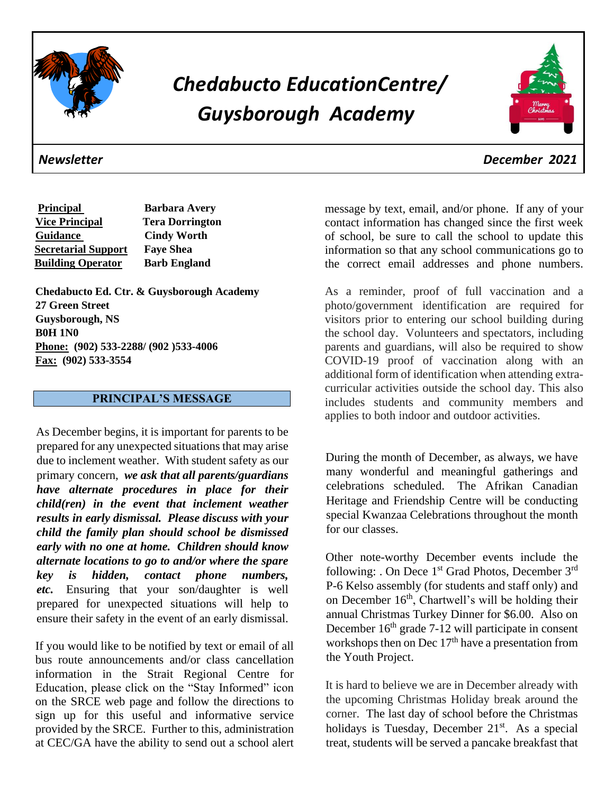

# *Chedabucto EducationCentre/ Guysborough Academy*



**Principal Barbara Avery Vice Principal Tera Dorrington Guidance Cindy Worth Secretarial Support Faye Shea Building Operator Barb England** 

**Chedabucto Ed. Ctr. & Guysborough Academy 27 Green Street Guysborough, NS B0H 1N0 Phone: (902) 533-2288/ (902 )533-4006 Fax: (902) 533-3554** 

# **PRINCIPAL'S MESSAGE**

As December begins, it is important for parents to be prepared for any unexpected situations that may arise due to inclement weather. With student safety as our primary concern, *we ask that all parents/guardians have alternate procedures in place for their child(ren) in the event that inclement weather results in early dismissal. Please discuss with your child the family plan should school be dismissed early with no one at home. Children should know alternate locations to go to and/or where the spare key is hidden, contact phone numbers, etc.* Ensuring that your son/daughter is well prepared for unexpected situations will help to ensure their safety in the event of an early dismissal.

If you would like to be notified by text or email of all bus route announcements and/or class cancellation information in the Strait Regional Centre for Education, please click on the "Stay Informed" icon on the SRCE web page and follow the directions to sign up for this useful and informative service provided by the SRCE. Further to this, administration at CEC/GA have the ability to send out a school alert

message by text, email, and/or phone. If any of your contact information has changed since the first week of school, be sure to call the school to update this information so that any school communications go to the correct email addresses and phone numbers.

As a reminder, proof of full vaccination and a photo/government identification are required for visitors prior to entering our school building during the school day. Volunteers and spectators, including parents and guardians, will also be required to show COVID-19 proof of vaccination along with an additional form of identification when attending extracurricular activities outside the school day. This also includes students and community members and applies to both indoor and outdoor activities.

During the month of December, as always, we have many wonderful and meaningful gatherings and celebrations scheduled. The Afrikan Canadian Heritage and Friendship Centre will be conducting special Kwanzaa Celebrations throughout the month for our classes.

Other note-worthy December events include the following: . On Dece 1<sup>st</sup> Grad Photos, December 3<sup>rd</sup> P-6 Kelso assembly (for students and staff only) and on December  $16<sup>th</sup>$ , Chartwell's will be holding their annual Christmas Turkey Dinner for \$6.00. Also on December  $16<sup>th</sup>$  grade 7-12 will participate in consent workshops then on Dec 17<sup>th</sup> have a presentation from the Youth Project.

It is hard to believe we are in December already with the upcoming Christmas Holiday break around the corner. The last day of school before the Christmas holidays is Tuesday, December 21<sup>st</sup>. As a special treat, students will be served a pancake breakfast that

*Newsletter December 2021*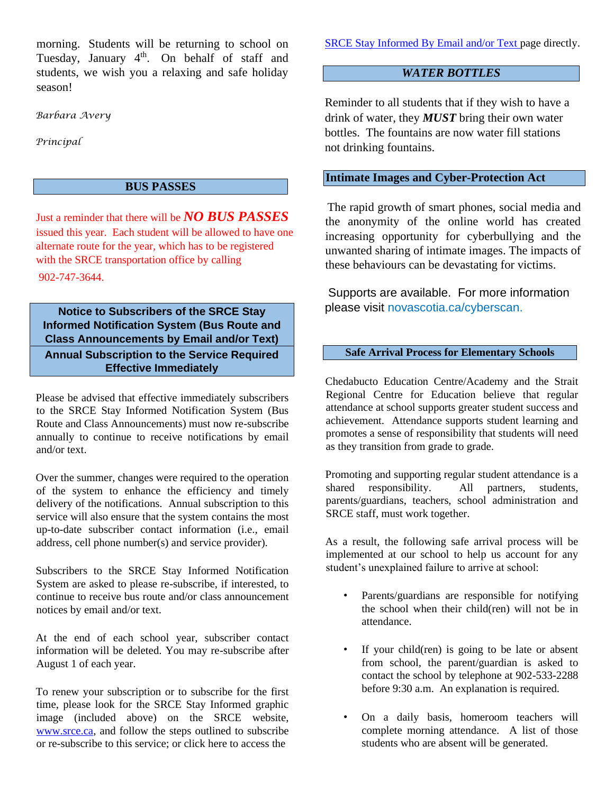morning. Students will be returning to school on Tuesday, January 4<sup>th</sup>. On behalf of staff and students, we wish you a relaxing and safe holiday season!

*Barbara Avery*

*Principal*

## **BUS PASSES**

Just a reminder that there will be *NO BUS PASSES* issued this year. Each student will be allowed to have one alternate route for the year, which has to be registered with the SRCE transportation office by calling 902-747-3644.

**Notice to Subscribers of the SRCE Stay Informed Notification System (Bus Route and Class Announcements by Email and/or Text) Annual Subscription to the Service Required** 

**Effective Immediately**

Please be advised that effective immediately subscribers to the SRCE Stay Informed Notification System (Bus Route and Class Announcements) must now re-subscribe annually to continue to receive notifications by email and/or text.

Over the summer, changes were required to the operation of the system to enhance the efficiency and timely delivery of the notifications. Annual subscription to this service will also ensure that the system contains the most up-to-date subscriber contact information (i.e., email address, cell phone number(s) and service provider).

Subscribers to the SRCE Stay Informed Notification System are asked to please re-subscribe, if interested, to continue to receive bus route and/or class announcement notices by email and/or text.

At the end of each school year, subscriber contact information will be deleted. You may re-subscribe after August 1 of each year.

To renew your subscription or to subscribe for the first time, please look for the SRCE Stay Informed graphic image (included above) on the SRCE website, [www.srce.ca,](http://www.srce.ca/) and follow the steps outlined to subscribe or re-subscribe to this service; or click here to access the

[SRCE Stay Informed By Email and/or Text](https://srce.ca/content/stay-informed) [pa](https://srce.ca/content/stay-informed)ge directly.

# *WATER BOTTLES*

Reminder to all students that if they wish to have a drink of water, they *MUST* bring their own water bottles. The fountains are now water fill stations not drinking fountains.

# **Intimate Images and Cyber-Protection Act**

The rapid growth of smart phones, social media and the anonymity of the online world has created increasing opportunity for cyberbullying and the unwanted sharing of intimate images. The impacts of these behaviours can be devastating for victims.

Supports are available. For more information please visit novascotia.ca/cyberscan.

#### **Safe Arrival Process for Elementary Schools**

Chedabucto Education Centre/Academy and the Strait Regional Centre for Education believe that regular attendance at school supports greater student success and achievement. Attendance supports student learning and promotes a sense of responsibility that students will need as they transition from grade to grade.

Promoting and supporting regular student attendance is a shared responsibility. All partners, students, parents/guardians, teachers, school administration and SRCE staff, must work together.

As a result, the following safe arrival process will be implemented at our school to help us account for any student's unexplained failure to arrive at school:

- Parents/guardians are responsible for notifying the school when their child(ren) will not be in attendance.
- If your child(ren) is going to be late or absent from school, the parent/guardian is asked to contact the school by telephone at 902-533-2288 before 9:30 a.m. An explanation is required.
- On a daily basis, homeroom teachers will complete morning attendance. A list of those students who are absent will be generated.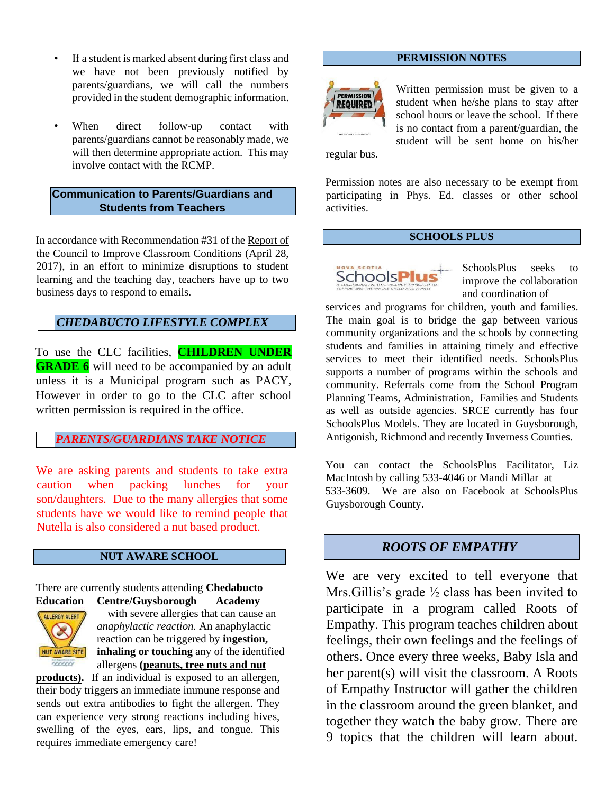- If a student is marked absent during first class and we have not been previously notified by parents/guardians, we will call the numbers provided in the student demographic information.
- When direct follow-up contact with parents/guardians cannot be reasonably made, we will then determine appropriate action. This may involve contact with the RCMP.

#### **Communication to Parents/Guardians and Students from Teachers**

In accordance with Recommendation #31 of the Report of the Council to Improve Classroom Conditions (April 28, 2017), in an effort to minimize disruptions to student learning and the teaching day, teachers have up to two business days to respond to emails.

# *CHEDABUCTO LIFESTYLE COMPLEX*

To use the CLC facilities, **CHILDREN UNDER GRADE 6** will need to be accompanied by an adult unless it is a Municipal program such as PACY, However in order to go to the CLC after school written permission is required in the office.

#### *PARENTS/GUARDIANS TAKE NOTICE*

We are asking parents and students to take extra caution when packing lunches for your son/daughters. Due to the many allergies that some students have we would like to remind people that Nutella is also considered a nut based product.

#### **NUT AWARE SCHOOL**

There are currently students attending **Chedabucto Education Centre/Guysborough Academy**



with severe allergies that can cause an *anaphylactic reaction.* An anaphylactic reaction can be triggered by **ingestion, inhaling or touching** any of the identified allergens **(peanuts, tree nuts and nut**

**products).** If an individual is exposed to an allergen, their body triggers an immediate immune response and sends out extra antibodies to fight the allergen. They can experience very strong reactions including hives, swelling of the eyes, ears, lips, and tongue. This requires immediate emergency care!

#### **PERMISSION NOTES**



Written permission must be given to a student when he/she plans to stay after school hours or leave the school. If there is no contact from a parent/guardian, the student will be sent home on his/her

regular bus.

Permission notes are also necessary to be exempt from participating in Phys. Ed. classes or other school activities.

#### **SCHOOLS PLUS**



SchoolsPlus seeks to improve the collaboration and coordination of

services and programs for children, youth and families. The main goal is to bridge the gap between various community organizations and the schools by connecting students and families in attaining timely and effective services to meet their identified needs. SchoolsPlus supports a number of programs within the schools and community. Referrals come from the School Program Planning Teams, Administration, Families and Students as well as outside agencies. SRCE currently has four SchoolsPlus Models. They are located in Guysborough, Antigonish, Richmond and recently Inverness Counties.

You can contact the SchoolsPlus Facilitator, Liz MacIntosh by calling 533-4046 or Mandi Millar at 533-3609. We are also on Facebook at SchoolsPlus Guysborough County.

### *ROOTS OF EMPATHY*

We are very excited to tell everyone that Mrs.Gillis's grade ½ class has been invited to participate in a program called Roots of Empathy. This program teaches children about feelings, their own feelings and the feelings of others. Once every three weeks, Baby Isla and her parent(s) will visit the classroom. A Roots of Empathy Instructor will gather the children in the classroom around the green blanket, and together they watch the baby grow. There are 9 topics that the children will learn about.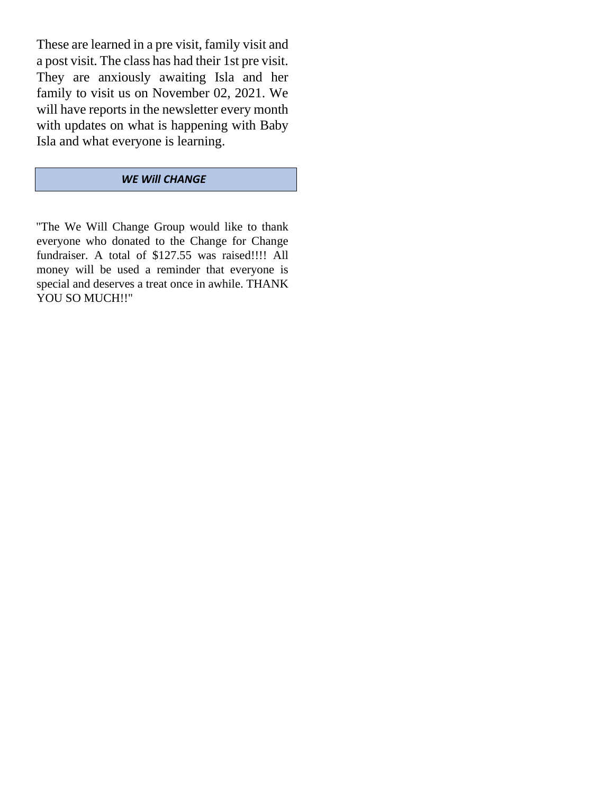These are learned in a pre visit, family visit and a post visit. The class has had their 1st pre visit. They are anxiously awaiting Isla and her family to visit us on November 02, 2021. We will have reports in the newsletter every month with updates on what is happening with Baby Isla and what everyone is learning.

# *WE Will CHANGE*

"The We Will Change Group would like to thank everyone who donated to the Change for Change fundraiser. A total of \$127.55 was raised!!!! All money will be used a reminder that everyone is special and deserves a treat once in awhile. THANK YOU SO MUCH!!"